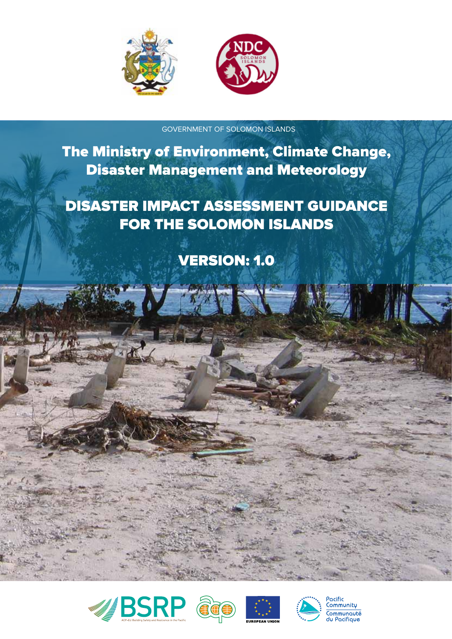

GOVERNMENT OF SOLOMON ISLANDS

The Ministry of Environment, Climate Change, Disaster Management and Meteorology

DISASTER IMPACT ASSESSMENT GUIDANCE FOR THE SOLOMON ISLANDS

VERSION: 1.0









Pacific<br>Community Communauté du Pacifique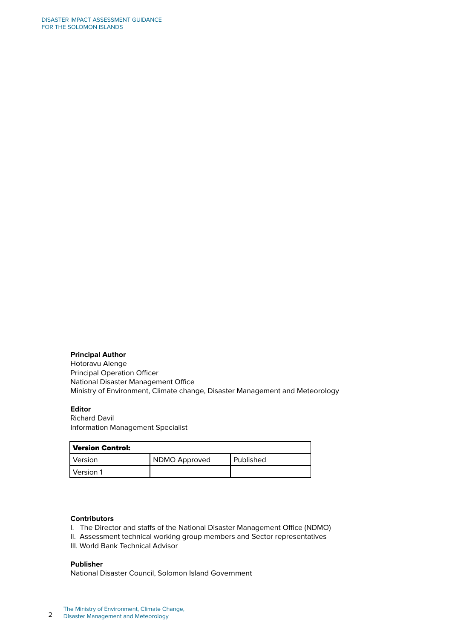#### **Principal Author**

Hotoravu Alenge Principal Operation Officer National Disaster Management Office Ministry of Environment, Climate change, Disaster Management and Meteorology

#### **Editor**

Richard Davil Information Management Specialist

| Version Control: |               |           |
|------------------|---------------|-----------|
| I Version        | NDMO Approved | Published |
| l Version 1      |               |           |

## **Contributors**

- I. The Director and staffs of the National Disaster Management Office (NDMO)
- II. Assessment technical working group members and Sector representatives

III. World Bank Technical Advisor

## **Publisher**

National Disaster Council, Solomon Island Government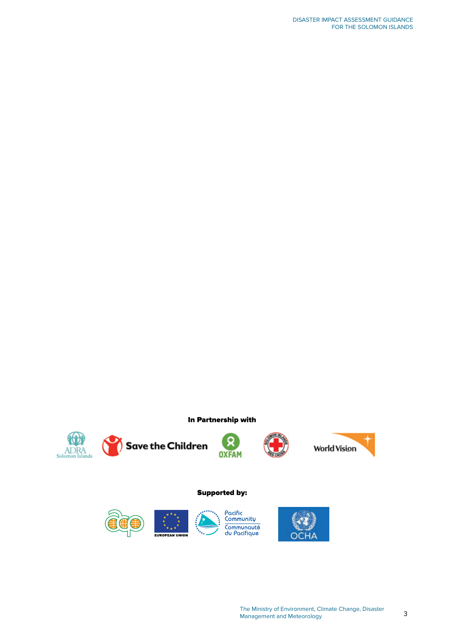## In Partnership with









## Supported by:

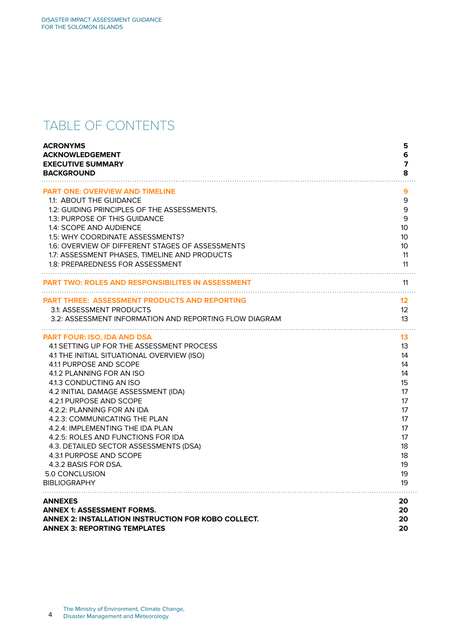# Table of Contents

| <b>ACRONYMS</b><br><b>ACKNOWLEDGEMENT</b><br><b>EXECUTIVE SUMMARY</b><br><b>BACKGROUND</b>                                                                                                                                                                                                                                                                                                                                                                                                                                                                        | 5<br>6<br>7<br>8                                                                                   |
|-------------------------------------------------------------------------------------------------------------------------------------------------------------------------------------------------------------------------------------------------------------------------------------------------------------------------------------------------------------------------------------------------------------------------------------------------------------------------------------------------------------------------------------------------------------------|----------------------------------------------------------------------------------------------------|
| <b>PART ONE: OVERVIEW AND TIMELINE</b><br>1.1: ABOUT THE GUIDANCE<br>1.2: GUIDING PRINCIPLES OF THE ASSESSMENTS.<br>1.3: PURPOSE OF THIS GUIDANCE<br>1.4: SCOPE AND AUDIENCE<br>1.5: WHY COORDINATE ASSESSMENTS?<br>1.6: OVERVIEW OF DIFFERENT STAGES OF ASSESSMENTS<br>1.7: ASSESSMENT PHASES. TIMELINE AND PRODUCTS<br>1.8: PREPAREDNESS FOR ASSESSMENT                                                                                                                                                                                                         | 9<br>9<br>9<br>9<br>10<br>10<br>10<br>11<br>11                                                     |
| <b>PART TWO: ROLES AND RESPONSIBILITES IN ASSESSMENT</b>                                                                                                                                                                                                                                                                                                                                                                                                                                                                                                          | 11                                                                                                 |
| <b>PART THREE: ASSESSMENT PRODUCTS AND REPORTING</b><br>3.1: ASSESSMENT PRODUCTS<br>3.2: ASSESSMENT INFORMATION AND REPORTING FLOW DIAGRAM                                                                                                                                                                                                                                                                                                                                                                                                                        | $12 \overline{ }$<br>$12 \overline{ }$<br>13                                                       |
| <b>PART FOUR: ISO, IDA AND DSA</b><br>4.1 SETTING UP FOR THE ASSESSMENT PROCESS<br>4.1 THE INITIAL SITUATIONAL OVERVIEW (ISO)<br>4.1.1 PURPOSE AND SCOPE<br>4.1.2 PLANNING FOR AN ISO<br>4.1.3 CONDUCTING AN ISO<br>4.2 INITIAL DAMAGE ASSESSMENT (IDA)<br>4.2.1 PURPOSE AND SCOPE<br>4.2.2: PLANNING FOR AN IDA<br>4.2.3: COMMUNICATING THE PLAN<br>4.2.4: IMPLEMENTING THE IDA PLAN<br>4.2.5: ROLES AND FUNCTIONS FOR IDA<br>4.3. DETAILED SECTOR ASSESSMENTS (DSA)<br>4.3.1 PURPOSE AND SCOPE<br>4.3.2 BASIS FOR DSA.<br>5.0 CONCLUSION<br><b>BIBLIOGRAPHY</b> | 13<br>13<br>14<br>14<br>14<br>15<br>17<br>17<br>17<br>17<br>17<br>17<br>18<br>18<br>19<br>19<br>19 |
| <b>ANNEXES</b><br><b>ANNEX 1: ASSESSMENT FORMS.</b><br><b>ANNEX 2: INSTALLATION INSTRUCTION FOR KOBO COLLECT.</b><br><b>ANNEX 3: REPORTING TEMPLATES</b>                                                                                                                                                                                                                                                                                                                                                                                                          | 20<br>20<br>20<br>20                                                                               |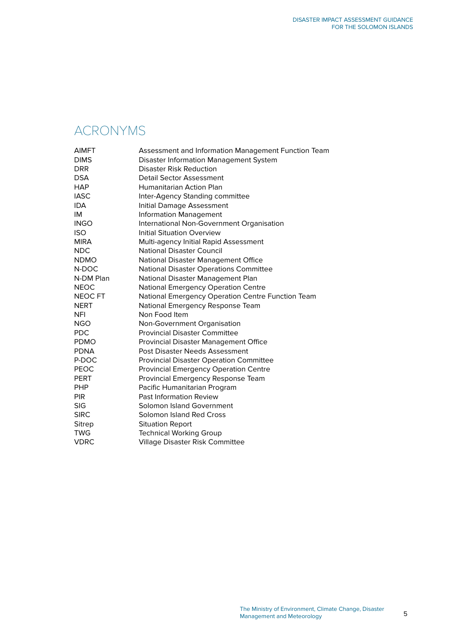## ACRONYMS

| <b>AIMFT</b>  | Assessment and Information Management Function Team |
|---------------|-----------------------------------------------------|
| <b>DIMS</b>   | <b>Disaster Information Management System</b>       |
| <b>DRR</b>    | <b>Disaster Risk Reduction</b>                      |
| <b>DSA</b>    | <b>Detail Sector Assessment</b>                     |
| <b>HAP</b>    | Humanitarian Action Plan                            |
| <b>IASC</b>   | Inter-Agency Standing committee                     |
| <b>IDA</b>    | Initial Damage Assessment                           |
| IM            | <b>Information Management</b>                       |
| <b>INGO</b>   | International Non-Government Organisation           |
| <b>ISO</b>    | <b>Initial Situation Overview</b>                   |
| <b>MIRA</b>   | Multi-agency Initial Rapid Assessment               |
| <b>NDC</b>    | National Disaster Council                           |
| <b>NDMO</b>   | National Disaster Management Office                 |
| N-DOC         | National Disaster Operations Committee              |
| N-DM Plan     | National Disaster Management Plan                   |
| <b>NEOC</b>   | National Emergency Operation Centre                 |
| <b>NEOCFT</b> | National Emergency Operation Centre Function Team   |
| <b>NERT</b>   | National Emergency Response Team                    |
| <b>NFI</b>    | Non Food Item                                       |
| <b>NGO</b>    | Non-Government Organisation                         |
| <b>PDC</b>    | <b>Provincial Disaster Committee</b>                |
| <b>PDMO</b>   | Provincial Disaster Management Office               |
| <b>PDNA</b>   | Post Disaster Needs Assessment                      |
| P-DOC         | <b>Provincial Disaster Operation Committee</b>      |
| <b>PEOC</b>   | Provincial Emergency Operation Centre               |
| <b>PERT</b>   | Provincial Emergency Response Team                  |
| <b>PHP</b>    | Pacific Humanitarian Program                        |
| <b>PIR</b>    | Past Information Review                             |
| <b>SIG</b>    | Solomon Island Government                           |
| <b>SIRC</b>   | <b>Solomon Island Red Cross</b>                     |
| Sitrep        | <b>Situation Report</b>                             |
| <b>TWG</b>    | <b>Technical Working Group</b>                      |
| <b>VDRC</b>   | Village Disaster Risk Committee                     |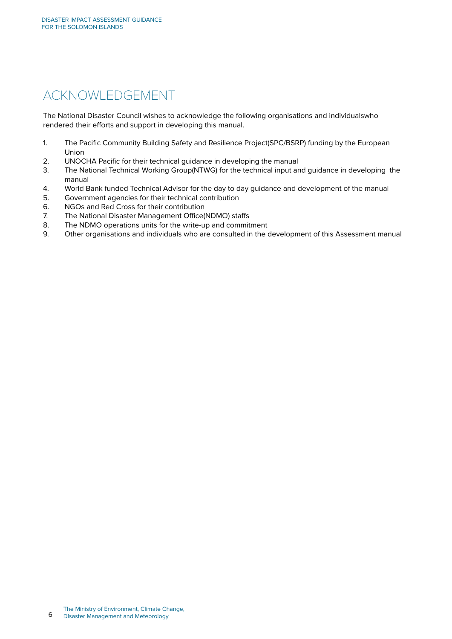# ACKNOWLEDGEMENT

The National Disaster Council wishes to acknowledge the following organisations and individualswho rendered their efforts and support in developing this manual.

- 1. The Pacific Community Building Safety and Resilience Project(SPC/BSRP) funding by the European Union
- 2. UNOCHA Pacific for their technical guidance in developing the manual
- 3. The National Technical Working Group(NTWG) for the technical input and guidance in developing the manual
- 4. World Bank funded Technical Advisor for the day to day guidance and development of the manual
- 5. Government agencies for their technical contribution
- 6. NGOs and Red Cross for their contribution
- 7. The National Disaster Management Office(NDMO) staffs
- 8. The NDMO operations units for the write-up and commitment
- 9. Other organisations and individuals who are consulted in the development of this Assessment manual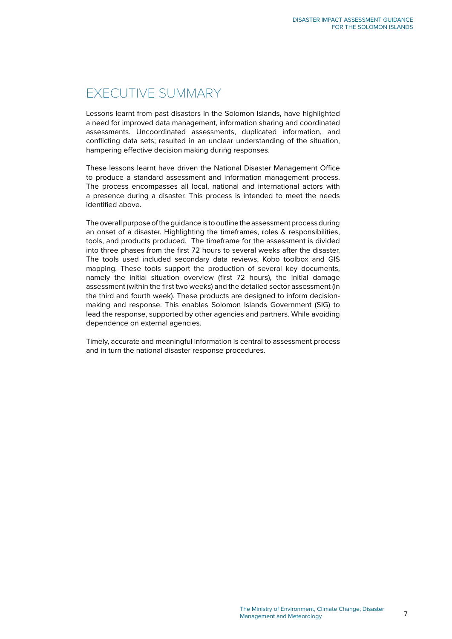## EXECUTIVE SUMMARY

Lessons learnt from past disasters in the Solomon Islands, have highlighted a need for improved data management, information sharing and coordinated assessments. Uncoordinated assessments, duplicated information, and conflicting data sets; resulted in an unclear understanding of the situation, hampering effective decision making during responses.

These lessons learnt have driven the National Disaster Management Office to produce a standard assessment and information management process. The process encompasses all local, national and international actors with a presence during a disaster. This process is intended to meet the needs identified above.

The overall purpose of the guidance is to outline the assessment process during an onset of a disaster. Highlighting the timeframes, roles & responsibilities, tools, and products produced. The timeframe for the assessment is divided into three phases from the first 72 hours to several weeks after the disaster. The tools used included secondary data reviews, Kobo toolbox and GIS mapping. These tools support the production of several key documents, namely the initial situation overview (first 72 hours), the initial damage assessment (within the first two weeks) and the detailed sector assessment (in the third and fourth week). These products are designed to inform decisionmaking and response. This enables Solomon Islands Government (SIG) to lead the response, supported by other agencies and partners. While avoiding dependence on external agencies.

Timely, accurate and meaningful information is central to assessment process and in turn the national disaster response procedures.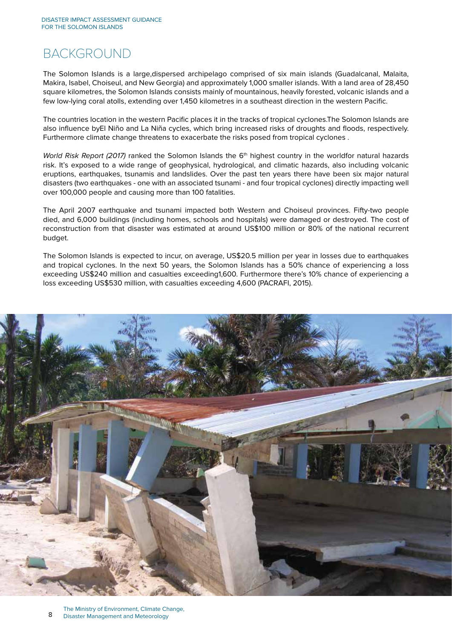# BACKGROUND

The Solomon Islands is a large,dispersed archipelago comprised of six main islands (Guadalcanal, Malaita, Makira, Isabel, Choiseul, and New Georgia) and approximately 1,000 smaller islands. With a land area of 28,450 square kilometres, the Solomon Islands consists mainly of mountainous, heavily forested, volcanic islands and a few low-lying coral atolls, extending over 1,450 kilometres in a southeast direction in the western Pacific.

The countries location in the western Pacific places it in the tracks of tropical cyclones.The Solomon Islands are also influence byEl Niño and La Niña cycles, which bring increased risks of droughts and floods, respectively. Furthermore climate change threatens to exacerbate the risks posed from tropical cyclones .

World Risk Report (2017) ranked the Solomon Islands the  $6<sup>th</sup>$  highest country in the worldfor natural hazards risk. It's exposed to a wide range of geophysical, hydrological, and climatic hazards, also including volcanic eruptions, earthquakes, tsunamis and landslides. Over the past ten years there have been six major natural disasters (two earthquakes - one with an associated tsunami - and four tropical cyclones) directly impacting well over 100,000 people and causing more than 100 fatalities.

The April 2007 earthquake and tsunami impacted both Western and Choiseul provinces. Fifty-two people died, and 6,000 buildings (including homes, schools and hospitals) were damaged or destroyed. The cost of reconstruction from that disaster was estimated at around US\$100 million or 80% of the national recurrent budget.

The Solomon Islands is expected to incur, on average, US\$20.5 million per year in losses due to earthquakes and tropical cyclones. In the next 50 years, the Solomon Islands has a 50% chance of experiencing a loss exceeding US\$240 million and casualties exceeding1,600. Furthermore there's 10% chance of experiencing a loss exceeding US\$530 million, with casualties exceeding 4,600 (PACRAFI, 2015).

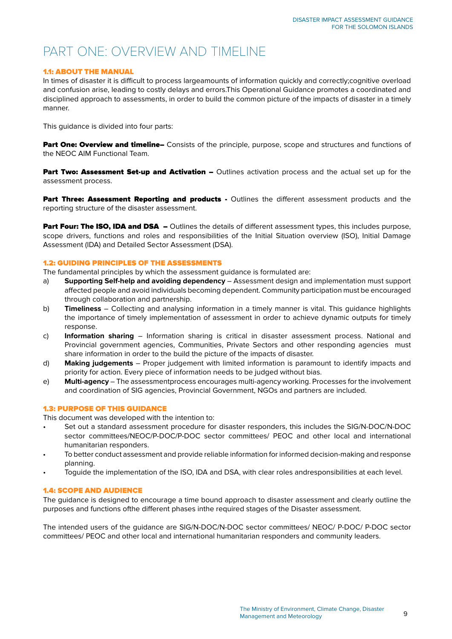## PART ONE: OVERVIEW AND TIMELINE

## 1.1: ABOUT THE MANUAL

In times of disaster it is difficult to process largeamounts of information quickly and correctly;cognitive overload and confusion arise, leading to costly delays and errors.This Operational Guidance promotes a coordinated and disciplined approach to assessments, in order to build the common picture of the impacts of disaster in a timely manner.

This guidance is divided into four parts:

Part One: Overview and timeline- Consists of the principle, purpose, scope and structures and functions of the NEOC AIM Functional Team.

Part Two: Assessment Set-up and Activation – Outlines activation process and the actual set up for the assessment process.

Part Three: Assessment Reporting and products - Outlines the different assessment products and the reporting structure of the disaster assessment.

Part Four: The ISO, IDA and DSA – Outlines the details of different assessment types, this includes purpose, scope drivers, functions and roles and responsibilities of the Initial Situation overview (ISO), Initial Damage Assessment (IDA) and Detailed Sector Assessment (DSA).

### 1.2: Guiding principles of the assessments

The fundamental principles by which the assessment guidance is formulated are:

- a) **Supporting Self-help and avoiding dependency** Assessment design and implementation must support affected people and avoid individuals becoming dependent. Community participation must be encouraged through collaboration and partnership.
- b) **Timeliness**  Collecting and analysing information in a timely manner is vital. This guidance highlights the importance of timely implementation of assessment in order to achieve dynamic outputs for timely response.
- c) **Information sharing** Information sharing is critical in disaster assessment process. National and Provincial government agencies, Communities, Private Sectors and other responding agencies must share information in order to the build the picture of the impacts of disaster.
- d) **Making judgements** Proper judgement with limited information is paramount to identify impacts and priority for action. Every piece of information needs to be judged without bias.
- e) **Multi-agency**  The assessmentprocess encourages multi-agency working. Processes for the involvement and coordination of SIG agencies, Provincial Government, NGOs and partners are included.

### 1.3: Purpose of this guidance

This document was developed with the intention to:

- • Set out a standard assessment procedure for disaster responders, this includes the SIG/N-DOC/N-DOC sector committees/NEOC/P-DOC/P-DOC sector committees/ PEOC and other local and international humanitarian responders.
- To better conduct assessment and provide reliable information for informed decision-making and response planning.
- Toguide the implementation of the ISO, IDA and DSA, with clear roles andresponsibilities at each level.

#### 1.4: SCOPE AND AUDIENCE

The guidance is designed to encourage a time bound approach to disaster assessment and clearly outline the purposes and functions ofthe different phases inthe required stages of the Disaster assessment.

The intended users of the guidance are SIG/N-DOC/N-DOC sector committees/ NEOC/ P-DOC/ P-DOC sector committees/ PEOC and other local and international humanitarian responders and community leaders.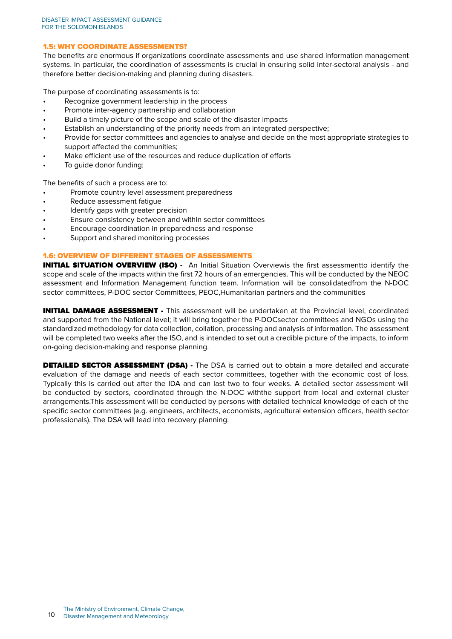## 1.5: WHY COORDINATE ASSESSMENTS?

The benefits are enormous if organizations coordinate assessments and use shared information management systems. In particular, the coordination of assessments is crucial in ensuring solid inter-sectoral analysis - and therefore better decision-making and planning during disasters.

The purpose of coordinating assessments is to:

- Recognize government leadership in the process
- • Promote inter-agency partnership and collaboration
- Build a timely picture of the scope and scale of the disaster impacts
- Establish an understanding of the priority needs from an integrated perspective;
- Provide for sector committees and agencies to analyse and decide on the most appropriate strategies to support affected the communities;
- Make efficient use of the resources and reduce duplication of efforts
- To quide donor funding;

The benefits of such a process are to:

- Promote country level assessment preparedness
- Reduce assessment fatique
- • Identify gaps with greater precision
- Ensure consistency between and within sector committees
- Encourage coordination in preparedness and response
- Support and shared monitoring processes

#### 1.6: Overview of different stages of assessments

**INITIAL SITUATION OVERVIEW (ISO) -** An Initial Situation Overviewis the first assessmentto identify the scope and scale of the impacts within the first 72 hours of an emergencies. This will be conducted by the NEOC assessment and Information Management function team. Information will be consolidatedfrom the N-DOC sector committees, P-DOC sector Committees, PEOC,Humanitarian partners and the communities

**INITIAL DAMAGE ASSESSMENT -** This assessment will be undertaken at the Provincial level, coordinated and supported from the National level; it will bring together the P-DOCsector committees and NGOs using the standardized methodology for data collection, collation, processing and analysis of information. The assessment will be completed two weeks after the ISO, and is intended to set out a credible picture of the impacts, to inform on-going decision-making and response planning.

**DETAILED SECTOR ASSESSMENT (DSA) -** The DSA is carried out to obtain a more detailed and accurate evaluation of the damage and needs of each sector committees, together with the economic cost of loss. Typically this is carried out after the IDA and can last two to four weeks. A detailed sector assessment will be conducted by sectors, coordinated through the N-DOC withthe support from local and external cluster arrangements.This assessment will be conducted by persons with detailed technical knowledge of each of the specific sector committees (e.g. engineers, architects, economists, agricultural extension officers, health sector professionals). The DSA will lead into recovery planning.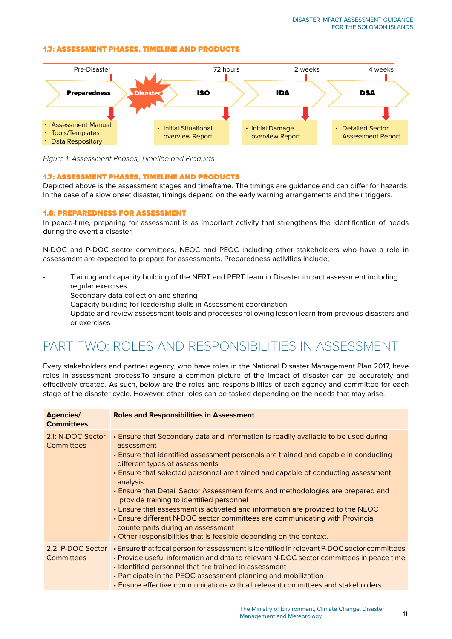

## 1.7: Assessment phases, Timeline and Products

*Figure 1: Assessment Phases, Timeline and Products*

### 1.7: Assessment phases, Timeline and Products

Depicted above is the assessment stages and timeframe. The timings are guidance and can differ for hazards. In the case of a slow onset disaster, timings depend on the early warning arrangements and their triggers.

#### 1.8: PREPAREDNESS FOR ASSESSMENT

In peace-time, preparing for assessment is as important activity that strengthens the identification of needs during the event a disaster.

N-DOC and P-DOC sector committees, NEOC and PEOC including other stakeholders who have a role in assessment are expected to prepare for assessments. Preparedness activities include;

- Training and capacity building of the NERT and PERT team in Disaster impact assessment including regular exercises
- Secondary data collection and sharing
- Capacity building for leadership skills in Assessment coordination
- Update and review assessment tools and processes following lesson learn from previous disasters and or exercises

# PART TWO: ROLES AND RESPONSIBILITIES IN ASSESSMENT

Every stakeholders and partner agency, who have roles in the National Disaster Management Plan 2017, have roles in assessment process.To ensure a common picture of the impact of disaster can be accurately and effectively created. As such, below are the roles and responsibilities of each agency and committee for each stage of the disaster cycle. However, other roles can be tasked depending on the needs that may arise.

| <b>Agencies/</b><br><b>Committees</b> | <b>Roles and Responsibilities in Assessment</b>                                                                                                                                                                                                                                                                                                                                                                                                                                                                                                                                                                                                                                                                                          |
|---------------------------------------|------------------------------------------------------------------------------------------------------------------------------------------------------------------------------------------------------------------------------------------------------------------------------------------------------------------------------------------------------------------------------------------------------------------------------------------------------------------------------------------------------------------------------------------------------------------------------------------------------------------------------------------------------------------------------------------------------------------------------------------|
| 2.1: N-DOC Sector<br>Committees       | • Ensure that Secondary data and information is readily available to be used during<br>assessment<br>• Ensure that identified assessment personals are trained and capable in conducting<br>different types of assessments<br>• Ensure that selected personnel are trained and capable of conducting assessment<br>analysis<br>• Ensure that Detail Sector Assessment forms and methodologies are prepared and<br>provide training to identified personnel<br>. Ensure that assessment is activated and information are provided to the NEOC<br>• Ensure different N-DOC sector committees are communicating with Provincial<br>counterparts during an assessment<br>• Other responsibilities that is feasible depending on the context. |
| 2.2: P-DOC Sector<br>Committees       | • Ensure that focal person for assessment is identified in relevant P-DOC sector committees<br>• Provide useful information and data to relevant N-DOC sector committees in peace time<br>• Identified personnel that are trained in assessment<br>• Participate in the PEOC assessment planning and mobilization<br>• Ensure effective communications with all relevant committees and stakeholders                                                                                                                                                                                                                                                                                                                                     |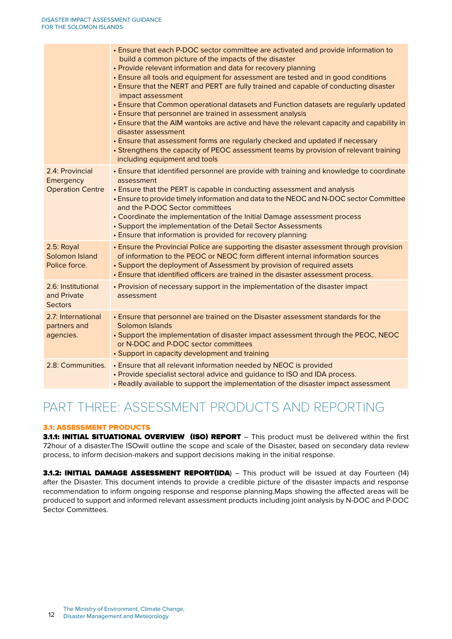|                                                         | • Ensure that each P-DOC sector committee are activated and provide information to<br>build a common picture of the impacts of the disaster<br>• Provide relevant information and data for recovery planning<br>• Ensure all tools and equipment for assessment are tested and in good conditions<br>• Ensure that the NERT and PERT are fully trained and capable of conducting disaster<br>impact assessment<br>• Ensure that Common operational datasets and Function datasets are regularly updated<br>• Ensure that personnel are trained in assessment analysis<br>• Ensure that the AIM wantoks are active and have the relevant capacity and capability in<br>disaster assessment<br>• Ensure that assessment forms are regularly checked and updated if necessary<br>• Strengthens the capacity of PEOC assessment teams by provision of relevant training<br>including equipment and tools |
|---------------------------------------------------------|------------------------------------------------------------------------------------------------------------------------------------------------------------------------------------------------------------------------------------------------------------------------------------------------------------------------------------------------------------------------------------------------------------------------------------------------------------------------------------------------------------------------------------------------------------------------------------------------------------------------------------------------------------------------------------------------------------------------------------------------------------------------------------------------------------------------------------------------------------------------------------------------------|
| 2.4: Provincial<br>Emergency<br><b>Operation Centre</b> | • Ensure that identified personnel are provide with training and knowledge to coordinate<br>assessment<br>• Ensure that the PERT is capable in conducting assessment and analysis<br>• Ensure to provide timely information and data to the NEOC and N-DOC sector Committee<br>and the P-DOC Sector committees<br>• Coordinate the implementation of the Initial Damage assessment process<br>• Support the implementation of the Detail Sector Assessments<br>• Ensure that information is provided for recovery planning                                                                                                                                                                                                                                                                                                                                                                           |
| 2.5: Royal<br><b>Solomon Island</b><br>Police force.    | • Ensure the Provincial Police are supporting the disaster assessment through provision<br>of information to the PEOC or NEOC form different internal information sources<br>• Support the deployment of Assessment by provision of required assets<br>• Ensure that identified officers are trained in the disaster assessment process.                                                                                                                                                                                                                                                                                                                                                                                                                                                                                                                                                             |
| 2.6: Institutional<br>and Private<br><b>Sectors</b>     | • Provision of necessary support in the implementation of the disaster impact<br>assessment                                                                                                                                                                                                                                                                                                                                                                                                                                                                                                                                                                                                                                                                                                                                                                                                          |
| 2.7: International<br>partners and<br>agencies.         | • Ensure that personnel are trained on the Disaster assessment standards for the<br><b>Solomon Islands</b><br>• Support the implementation of disaster impact assessment through the PEOC, NEOC<br>or N-DOC and P-DOC sector committees<br>• Support in capacity development and training                                                                                                                                                                                                                                                                                                                                                                                                                                                                                                                                                                                                            |
| 2.8: Communities.                                       | • Ensure that all relevant information needed by NEOC is provided<br>• Provide specialist sectoral advice and guidance to ISO and IDA process.<br>• Readily available to support the implementation of the disaster impact assessment                                                                                                                                                                                                                                                                                                                                                                                                                                                                                                                                                                                                                                                                |

## PART THREE: ASSESSMENT PRODUCTS AND REPORTING

## 3.1: ASSESSMENT PRODUCTS

3.1.1: INITIAL SITUATIONAL OVERVIEW (ISO) REPORT – This product must be delivered within the first 72hour of a disaster.The ISOwill outline the scope and scale of the Disaster, based on secondary data review process, to inform decision-makers and support decisions making in the initial response.

3.1.2: INITIAL DAMAGE ASSESSMENT REPORT(IDA) - This product will be issued at day Fourteen (14) after the Disaster. This document intends to provide a credible picture of the disaster impacts and response recommendation to inform ongoing response and response planning.Maps showing the affected areas will be produced to support and informed relevant assessment products including joint analysis by N-DOC and P-DOC Sector Committees.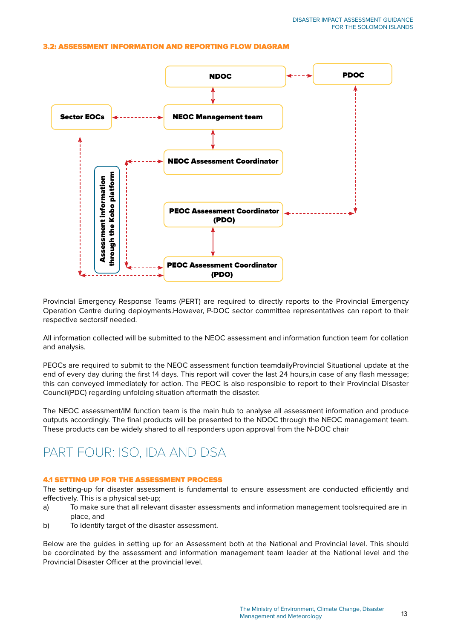#### 3.2: ASSESSMENT INFORMATION AND REPORTING FLOW DIAGRAM



Provincial Emergency Response Teams (PERT) are required to directly reports to the Provincial Emergency Operation Centre during deployments.However, P-DOC sector committee representatives can report to their respective sectorsif needed.

All information collected will be submitted to the NEOC assessment and information function team for collation and analysis.

PEOCs are required to submit to the NEOC assessment function teamdailyProvincial Situational update at the end of every day during the first 14 days. This report will cover the last 24 hours,in case of any flash message; this can conveyed immediately for action. The PEOC is also responsible to report to their Provincial Disaster Council(PDC) regarding unfolding situation aftermath the disaster.

The NEOC assessment/IM function team is the main hub to analyse all assessment information and produce outputs accordingly. The final products will be presented to the NDOC through the NEOC management team. These products can be widely shared to all responders upon approval from the N-DOC chair

## PART four: ISO, IDA AND DSA

### 4.1 SETTING UP FOR THE ASSESSMENT PROCESS

The setting-up for disaster assessment is fundamental to ensure assessment are conducted efficiently and effectively. This is a physical set-up;

- a) To make sure that all relevant disaster assessments and information management toolsrequired are in place, and
- b) To identify target of the disaster assessment.

Below are the guides in setting up for an Assessment both at the National and Provincial level. This should be coordinated by the assessment and information management team leader at the National level and the Provincial Disaster Officer at the provincial level.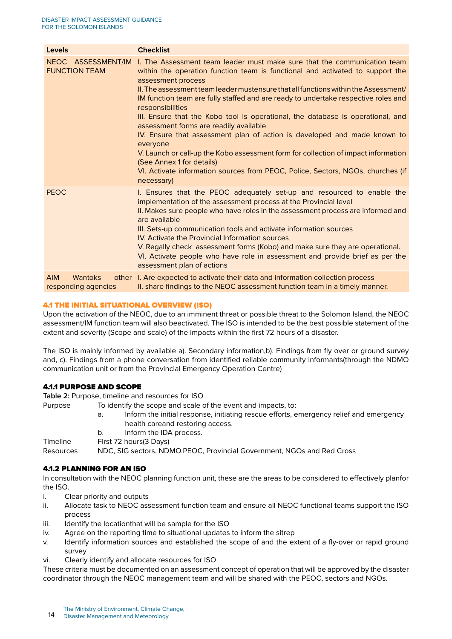| <b>Levels</b>                                       | <b>Checklist</b>                                                                                                                                                                                                                                                                                                                                                                                                                                                                                                                                                                                                                                                                                                                                                                                                          |
|-----------------------------------------------------|---------------------------------------------------------------------------------------------------------------------------------------------------------------------------------------------------------------------------------------------------------------------------------------------------------------------------------------------------------------------------------------------------------------------------------------------------------------------------------------------------------------------------------------------------------------------------------------------------------------------------------------------------------------------------------------------------------------------------------------------------------------------------------------------------------------------------|
| NEOC ASSESSMENT/IM<br><b>FUNCTION TEAM</b>          | I. The Assessment team leader must make sure that the communication team<br>within the operation function team is functional and activated to support the<br>assessment process<br>II. The assessment team leader mustensure that all functions within the Assessment/<br>IM function team are fully staffed and are ready to undertake respective roles and<br>responsibilities<br>III. Ensure that the Kobo tool is operational, the database is operational, and<br>assessment forms are readily available<br>IV. Ensure that assessment plan of action is developed and made known to<br>everyone<br>V. Launch or call-up the Kobo assessment form for collection of impact information<br>(See Annex 1 for details)<br>VI. Activate information sources from PEOC, Police, Sectors, NGOs, churches (if<br>necessary) |
| <b>PEOC</b>                                         | I. Ensures that the PEOC adequately set-up and resourced to enable the<br>implementation of the assessment process at the Provincial level<br>II. Makes sure people who have roles in the assessment process are informed and<br>are available<br>III. Sets-up communication tools and activate information sources<br>IV. Activate the Provincial Information sources<br>V. Regally check assessment forms (Kobo) and make sure they are operational.<br>VI. Activate people who have role in assessment and provide brief as per the<br>assessment plan of actions                                                                                                                                                                                                                                                      |
| <b>Wantoks</b><br><b>AIM</b><br>responding agencies | other I. Are expected to activate their data and information collection process<br>II. share findings to the NEOC assessment function team in a timely manner.                                                                                                                                                                                                                                                                                                                                                                                                                                                                                                                                                                                                                                                            |

## 4.1 THE INITIAL SITUATIONAL OVERVIEW (ISO)

Upon the activation of the NEOC, due to an imminent threat or possible threat to the Solomon Island, the NEOC assessment/IM function team will also beactivated. The ISO is intended to be the best possible statement of the extent and severity (Scope and scale) of the impacts within the first 72 hours of a disaster.

The ISO is mainly informed by available a). Secondary information,b). Findings from fly over or ground survey and, c). Findings from a phone conversation from identified reliable community informants(through the NDMO communication unit or from the Provincial Emergency Operation Centre)

## 4.1.1 PURPOSE AND SCOPE

**Table 2:** Purpose, timeline and resources for ISO

Purpose To identify the scope and scale of the event and impacts, to:

- a. Inform the initial response, initiating rescue efforts, emergency relief and emergency health careand restoring access.
- b. Inform the IDA process.

Timeline First 72 hours(3 Days)

Resources NDC, SIG sectors, NDMO,PEOC, Provincial Government, NGOs and Red Cross

## 4.1.2 PLANNING FOR AN ISO

In consultation with the NEOC planning function unit, these are the areas to be considered to effectively planfor the ISO.

- i. Clear priority and outputs
- ii. Allocate task to NEOC assessment function team and ensure all NEOC functional teams support the ISO process
- iii. Identify the locationthat will be sample for the ISO
- iv. Agree on the reporting time to situational updates to inform the sitrep
- v. Identify information sources and established the scope of and the extent of a fly-over or rapid ground survey
- vi. Clearly identify and allocate resources for ISO

These criteria must be documented on an assessment concept of operation that will be approved by the disaster coordinator through the NEOC management team and will be shared with the PEOC, sectors and NGOs.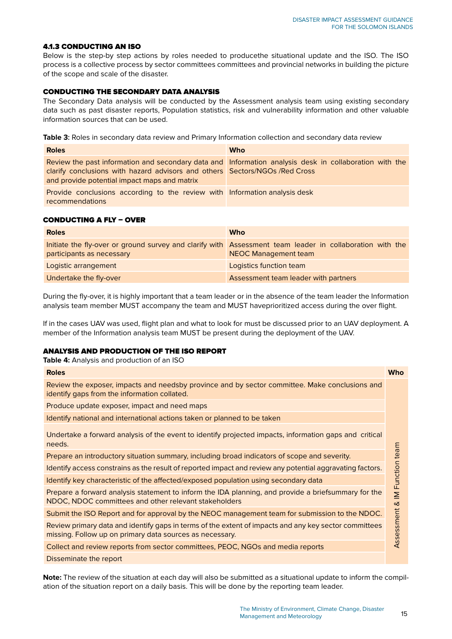## 4.1.3 CONDUCTING AN ISO

Below is the step-by step actions by roles needed to producethe situational update and the ISO. The ISO process is a collective process by sector committees committees and provincial networks in building the picture of the scope and scale of the disaster.

## Conducting the Secondary Data Analysis

The Secondary Data analysis will be conducted by the Assessment analysis team using existing secondary data such as past disaster reports, Population statistics, risk and vulnerability information and other valuable information sources that can be used.

**Table 3:** Roles in secondary data review and Primary Information collection and secondary data review

| <b>Roles</b>                                                                                                               | Who                                                                                                    |
|----------------------------------------------------------------------------------------------------------------------------|--------------------------------------------------------------------------------------------------------|
| clarify conclusions with hazard advisors and others Sectors/NGOs/Red Cross<br>and provide potential impact maps and matrix | Review the past information and secondary data and Information analysis desk in collaboration with the |
| Provide conclusions according to the review with Information analysis desk<br><b>recommendations</b>                       |                                                                                                        |

## Conducting a fly – over

| <b>Roles</b>              | Who                                                                                                                                     |
|---------------------------|-----------------------------------------------------------------------------------------------------------------------------------------|
| participants as necessary | Initiate the fly-over or ground survey and clarify with Assessment team leader in collaboration with the<br><b>NEOC Management team</b> |
| Logistic arrangement      | Logistics function team                                                                                                                 |
| Undertake the fly-over    | Assessment team leader with partners                                                                                                    |

During the fly-over, it is highly important that a team leader or in the absence of the team leader the Information analysis team member MUST accompany the team and MUST haveprioritized access during the over flight.

If in the cases UAV was used, flight plan and what to look for must be discussed prior to an UAV deployment. A member of the Information analysis team MUST be present during the deployment of the UAV.

### Analysis and Production of the ISO Report

**Table 4:** Analysis and production of an ISO

| <b>Roles</b>                                                                                                                                                                                                         | <b>Who</b>                    |
|----------------------------------------------------------------------------------------------------------------------------------------------------------------------------------------------------------------------|-------------------------------|
| Review the exposer, impacts and needsby province and by sector committee. Make conclusions and<br>identify gaps from the information collated.                                                                       |                               |
| Produce update exposer, impact and need maps                                                                                                                                                                         |                               |
| Identify national and international actions taken or planned to be taken                                                                                                                                             |                               |
| Undertake a forward analysis of the event to identify projected impacts, information gaps and critical<br>needs.                                                                                                     |                               |
| Prepare an introductory situation summary, including broad indicators of scope and severity.                                                                                                                         |                               |
| Identify access constrains as the result of reported impact and review any potential aggravating factors.                                                                                                            |                               |
| Identify key characteristic of the affected/exposed population using secondary data                                                                                                                                  |                               |
| Prepare a forward analysis statement to inform the IDA planning, and provide a briefsummary for the<br>NDOC, NDOC committees and other relevant stakeholders                                                         |                               |
| Submit the ISO Report and for approval by the NEOC management team for submission to the NDOC.                                                                                                                       |                               |
| Review primary data and identify gaps in terms of the extent of impacts and any key sector committees<br>missing. Follow up on primary data sources as necessary.                                                    | Assessment & IM Function team |
| Collect and review reports from sector committees, PEOC, NGOs and media reports                                                                                                                                      |                               |
| Disseminate the report                                                                                                                                                                                               |                               |
| Note: The review of the situation at each day will also be submitted as a situational update to inform the compil<br>ation of the situation report on a daily basis. This will be done by the reporting team leader. |                               |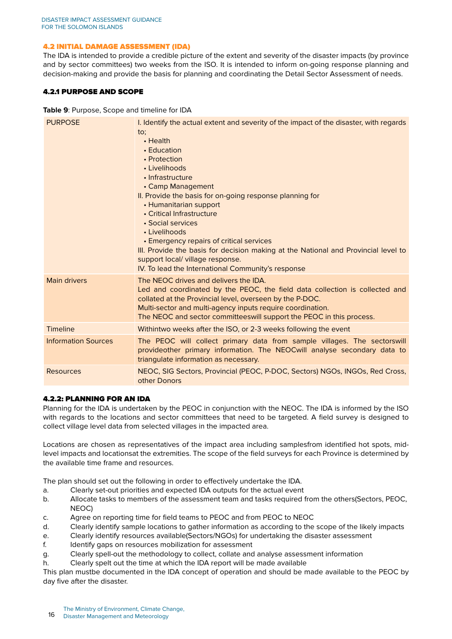## 4.2 INITIAL DAMAGE ASSESSMENT (IDA)

The IDA is intended to provide a credible picture of the extent and severity of the disaster impacts (by province and by sector committees) two weeks from the ISO. It is intended to inform on-going response planning and decision-making and provide the basis for planning and coordinating the Detail Sector Assessment of needs.

## 4.2.1 PURPOSE AND SCOPE

**Table 9**: Purpose, Scope and timeline for IDA

| <b>PURPOSE</b>             | I. Identify the actual extent and severity of the impact of the disaster, with regards<br>to:<br>$\cdot$ Health<br>• Education<br>• Protection<br>• Livelihoods<br>• Infrastructure<br>• Camp Management<br>II. Provide the basis for on-going response planning for<br>• Humanitarian support<br>• Critical Infrastructure<br>• Social services<br>• Livelihoods<br>• Emergency repairs of critical services<br>III. Provide the basis for decision making at the National and Provincial level to<br>support local/ village response.<br>IV. To lead the International Community's response |
|----------------------------|-----------------------------------------------------------------------------------------------------------------------------------------------------------------------------------------------------------------------------------------------------------------------------------------------------------------------------------------------------------------------------------------------------------------------------------------------------------------------------------------------------------------------------------------------------------------------------------------------|
| <b>Main drivers</b>        | The NEOC drives and delivers the IDA.<br>Led and coordinated by the PEOC, the field data collection is collected and<br>collated at the Provincial level, overseen by the P-DOC.<br>Multi-sector and multi-agency inputs require coordination.<br>The NEOC and sector committeeswill support the PEOC in this process.                                                                                                                                                                                                                                                                        |
| <b>Timeline</b>            | Withintwo weeks after the ISO, or 2-3 weeks following the event                                                                                                                                                                                                                                                                                                                                                                                                                                                                                                                               |
| <b>Information Sources</b> | The PEOC will collect primary data from sample villages. The sectorswill<br>provideother primary information. The NEOCwill analyse secondary data to<br>triangulate information as necessary.                                                                                                                                                                                                                                                                                                                                                                                                 |
| <b>Resources</b>           | NEOC, SIG Sectors, Provincial (PEOC, P-DOC, Sectors) NGOs, INGOs, Red Cross,<br>other Donors                                                                                                                                                                                                                                                                                                                                                                                                                                                                                                  |

## 4.2.2: PLANNING FOR AN IDA

Planning for the IDA is undertaken by the PEOC in conjunction with the NEOC. The IDA is informed by the ISO with regards to the locations and sector committees that need to be targeted. A field survey is designed to collect village level data from selected villages in the impacted area.

Locations are chosen as representatives of the impact area including samplesfrom identified hot spots, midlevel impacts and locationsat the extremities. The scope of the field surveys for each Province is determined by the available time frame and resources.

The plan should set out the following in order to effectively undertake the IDA.

- a. Clearly set-out priorities and expected IDA outputs for the actual event
- b. Allocate tasks to members of the assessment team and tasks required from the others(Sectors, PEOC, NEOC)
- c. Agree on reporting time for field teams to PEOC and from PEOC to NEOC
- d. Clearly identify sample locations to gather information as according to the scope of the likely impacts
- e. Clearly identify resources available(Sectors/NGOs) for undertaking the disaster assessment
- f. Identify gaps on resources mobilization for assessment
- g. Clearly spell-out the methodology to collect, collate and analyse assessment information
- h. Clearly spelt out the time at which the IDA report will be made available

This plan mustbe documented in the IDA concept of operation and should be made available to the PEOC by day five after the disaster.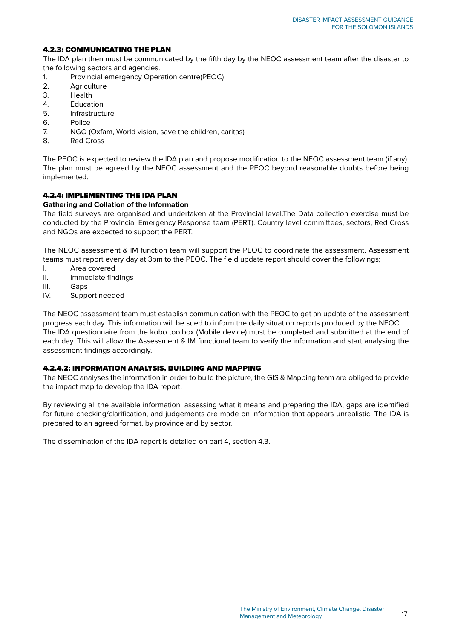## 4.2.3: COMMUNICATING THE PLAN

The IDA plan then must be communicated by the fifth day by the NEOC assessment team after the disaster to the following sectors and agencies.

- 1. Provincial emergency Operation centre(PEOC)
- 2. Agriculture
- 3. Health
- 4. Education
- 5. Infrastructure
- 6. Police
- 7. NGO (Oxfam, World vision, save the children, caritas)
- 8. Red Cross

The PEOC is expected to review the IDA plan and propose modification to the NEOC assessment team (if any). The plan must be agreed by the NEOC assessment and the PEOC beyond reasonable doubts before being implemented.

## 4.2.4: IMPLEMENTING THE IDA PLAN

### **Gathering and Collation of the Information**

The field surveys are organised and undertaken at the Provincial level.The Data collection exercise must be conducted by the Provincial Emergency Response team (PERT). Country level committees, sectors, Red Cross and NGOs are expected to support the PERT.

The NEOC assessment & IM function team will support the PEOC to coordinate the assessment. Assessment teams must report every day at 3pm to the PEOC. The field update report should cover the followings;

- I. Area covered
- II. Immediate findings
- III. Gaps
- IV. Support needed

The NEOC assessment team must establish communication with the PEOC to get an update of the assessment progress each day. This information will be sued to inform the daily situation reports produced by the NEOC. The IDA questionnaire from the kobo toolbox (Mobile device) must be completed and submitted at the end of each day. This will allow the Assessment & IM functional team to verify the information and start analysing the assessment findings accordingly.

### 4.2.4.2: Information analysis, building and mapping

The NEOC analyses the information in order to build the picture, the GIS & Mapping team are obliged to provide the impact map to develop the IDA report.

By reviewing all the available information, assessing what it means and preparing the IDA, gaps are identified for future checking/clarification, and judgements are made on information that appears unrealistic. The IDA is prepared to an agreed format, by province and by sector.

The dissemination of the IDA report is detailed on part 4, section 4.3.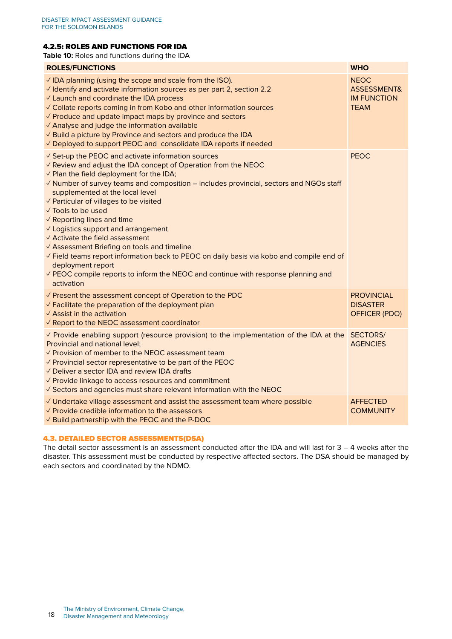## 4.2.5: ROLES AND FUNCTIONS FOR IDA

**Table 10:** Roles and functions during the IDA

| <b>ROLES/FUNCTIONS</b>                                                                                                                                                                                                                                                                                                                                                                                                                                                                                                                                                                                                                                                                                                                                                               | <b>WHO</b>                                                                 |
|--------------------------------------------------------------------------------------------------------------------------------------------------------------------------------------------------------------------------------------------------------------------------------------------------------------------------------------------------------------------------------------------------------------------------------------------------------------------------------------------------------------------------------------------------------------------------------------------------------------------------------------------------------------------------------------------------------------------------------------------------------------------------------------|----------------------------------------------------------------------------|
| $\sqrt{}$ IDA planning (using the scope and scale from the ISO).<br>$\sqrt{}$ Identify and activate information sources as per part 2, section 2.2<br>√ Launch and coordinate the IDA process<br>√ Collate reports coming in from Kobo and other information sources<br>$\sqrt{2}$ Produce and update impact maps by province and sectors<br>√ Analyse and judge the information available<br>√ Build a picture by Province and sectors and produce the IDA<br>√ Deployed to support PEOC and consolidate IDA reports if needed                                                                                                                                                                                                                                                      | <b>NEOC</b><br><b>ASSESSMENT&amp;</b><br><b>IM FUNCTION</b><br><b>TEAM</b> |
| $\sqrt{\frac{1}{1}}$ Set-up the PEOC and activate information sources<br>$\sqrt{ }$ Review and adjust the IDA concept of Operation from the NEOC<br>$\sqrt{}$ Plan the field deployment for the IDA;<br>√ Number of survey teams and composition – includes provincial, sectors and NGOs staff<br>supplemented at the local level<br>√ Particular of villages to be visited<br>$\sqrt{}$ Tools to be used<br>√ Reporting lines and time<br>√ Logistics support and arrangement<br>√ Activate the field assessment<br>√ Assessment Briefing on tools and timeline<br>√ Field teams report information back to PEOC on daily basis via kobo and compile end of<br>deployment report<br>√ PEOC compile reports to inform the NEOC and continue with response planning and<br>activation | <b>PEOC</b>                                                                |
| $\sqrt{}$ Present the assessment concept of Operation to the PDC<br>$\sqrt{ }$ Facilitate the preparation of the deployment plan<br>$\sqrt{\phantom{a}}$ Assist in the activation<br>√ Report to the NEOC assessment coordinator                                                                                                                                                                                                                                                                                                                                                                                                                                                                                                                                                     | <b>PROVINCIAL</b><br><b>DISASTER</b><br><b>OFFICER (PDO)</b>               |
| √ Provide enabling support (resource provision) to the implementation of the IDA at the SECTORS/<br>Provincial and national level;<br>$\sqrt{2}$ Provision of member to the NEOC assessment team<br>√ Provincial sector representative to be part of the PEOC<br>$\sqrt{}$ Deliver a sector IDA and review IDA drafts<br>√ Provide linkage to access resources and commitment<br>$\sqrt{2}$ Sectors and agencies must share relevant information with the NEOC                                                                                                                                                                                                                                                                                                                       | <b>AGENCIES</b>                                                            |
| √ Undertake village assessment and assist the assessment team where possible<br>$\sqrt{2}$ Provide credible information to the assessors<br>√ Build partnership with the PEOC and the P-DOC                                                                                                                                                                                                                                                                                                                                                                                                                                                                                                                                                                                          | <b>AFFECTED</b><br><b>COMMUNITY</b>                                        |

#### 4.3. DETAILED SECTOR ASSESSMENTS(DSA)

The detail sector assessment is an assessment conducted after the IDA and will last for 3 – 4 weeks after the disaster. This assessment must be conducted by respective affected sectors. The DSA should be managed by each sectors and coordinated by the NDMO.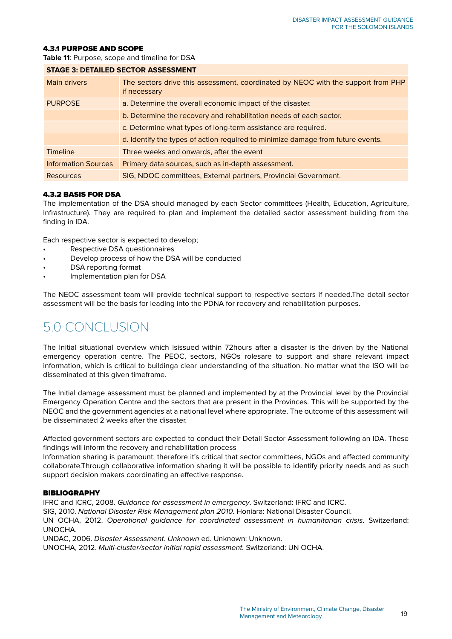## 4.3.1 PURPOSE AND SCOPE

**Table 11**: Purpose, scope and timeline for DSA

#### **STAGE 3: DETAILED SECTOR ASSESSMENT**

| Main drivers               | The sectors drive this assessment, coordinated by NEOC with the support from PHP<br>if necessary |
|----------------------------|--------------------------------------------------------------------------------------------------|
| <b>PURPOSE</b>             | a. Determine the overall economic impact of the disaster.                                        |
|                            | b. Determine the recovery and rehabilitation needs of each sector.                               |
|                            | c. Determine what types of long-term assistance are required.                                    |
|                            | d. Identify the types of action required to minimize damage from future events.                  |
| <b>Timeline</b>            | Three weeks and onwards, after the event                                                         |
| <b>Information Sources</b> | Primary data sources, such as in-depth assessment.                                               |
| <b>Resources</b>           | SIG, NDOC committees, External partners, Provincial Government.                                  |

## 4.3.2 BASIS FOR DSA

The implementation of the DSA should managed by each Sector committees (Health, Education, Agriculture, Infrastructure). They are required to plan and implement the detailed sector assessment building from the finding in IDA.

Each respective sector is expected to develop;

- Respective DSA questionnaires
- Develop process of how the DSA will be conducted
- DSA reporting format
- Implementation plan for DSA

The NEOC assessment team will provide technical support to respective sectors if needed.The detail sector assessment will be the basis for leading into the PDNA for recovery and rehabilitation purposes.

# 5.0 CONCLUSION

The Initial situational overview which isissued within 72hours after a disaster is the driven by the National emergency operation centre. The PEOC, sectors, NGOs rolesare to support and share relevant impact information, which is critical to buildinga clear understanding of the situation. No matter what the ISO will be disseminated at this given timeframe.

The Initial damage assessment must be planned and implemented by at the Provincial level by the Provincial Emergency Operation Centre and the sectors that are present in the Provinces. This will be supported by the NEOC and the government agencies at a national level where appropriate. The outcome of this assessment will be disseminated 2 weeks after the disaster.

Affected government sectors are expected to conduct their Detail Sector Assessment following an IDA. These findings will inform the recovery and rehabilitation process

Information sharing is paramount; therefore it's critical that sector committees, NGOs and affected community collaborate.Through collaborative information sharing it will be possible to identify priority needs and as such support decision makers coordinating an effective response.

### **BIBLIOGRAPHY**

IFRC and ICRC, 2008. Guidance for assessment in emergency. Switzerland: IFRC and ICRC.

SIG, 2010. National Disaster Risk Management plan 2010. Honiara: National Disaster Council.

UN OCHA, 2012. Operational guidance for coordinated assessment in humanitarian crisis. Switzerland: UNOCHA.

UNDAC, 2006. Disaster Assessment. Unknown ed. Unknown: Unknown.

UNOCHA, 2012. Multi-cluster/sector initial rapid assessment. Switzerland: UN OCHA.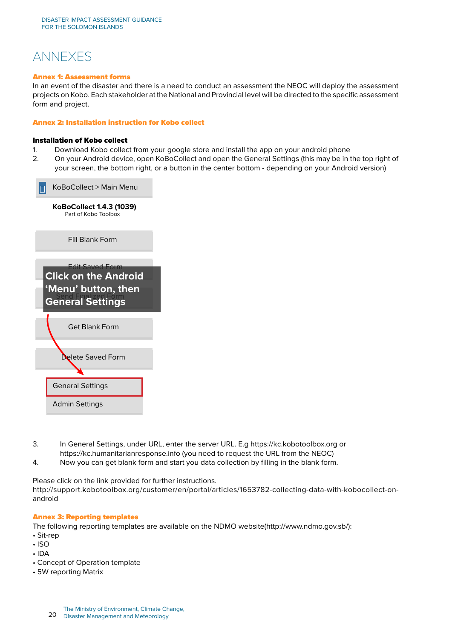# ANNEXES

## Annex 1: Assessment forms

In an event of the disaster and there is a need to conduct an assessment the NEOC will deploy the assessment projects on Kobo. Each stakeholder at the National and Provincial level will be directed to the specific assessment form and project.

## Annex 2: Installation instruction for Kobo collect

## Installation of Kobo collect

- 1. Download Kobo collect from your google store and install the app on your android phone
- 2. On your Android device, open KoBoCollect and open the General Settings (this may be in the top right of your screen, the bottom right, or a button in the center bottom - depending on your Android version)



- 3. In General Settings, under URL, enter the server URL. E.g https://kc.kobotoolbox.org or https://kc.humanitarianresponse.info (you need to request the URL from the NEOC)
- 4. Now you can get blank form and start you data collection by filling in the blank form.

Please click on the link provided for further instructions.

http://support.kobotoolbox.org/customer/en/portal/articles/1653782-collecting-data-with-kobocollect-onandroid

### Annex 3: Reporting templates

The following reporting templates are available on the NDMO website(http://www.ndmo.gov.sb/):

- Sit-rep
- ISO
- IDA
- Concept of Operation template
- 5W reporting Matrix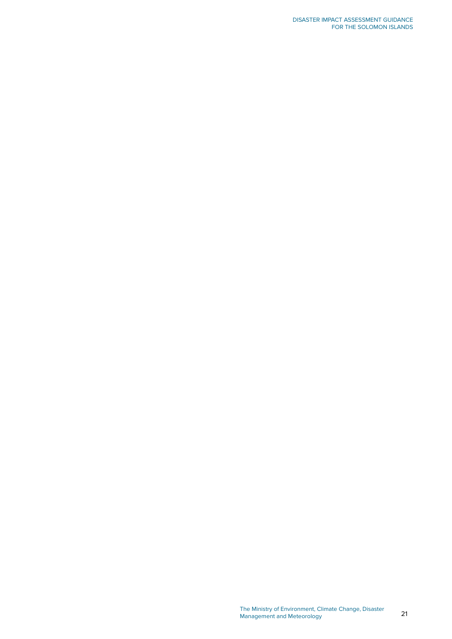DISASTER IMPACT ASSESSMENT GUIDANCE FOR THE SOLOMON ISLANDS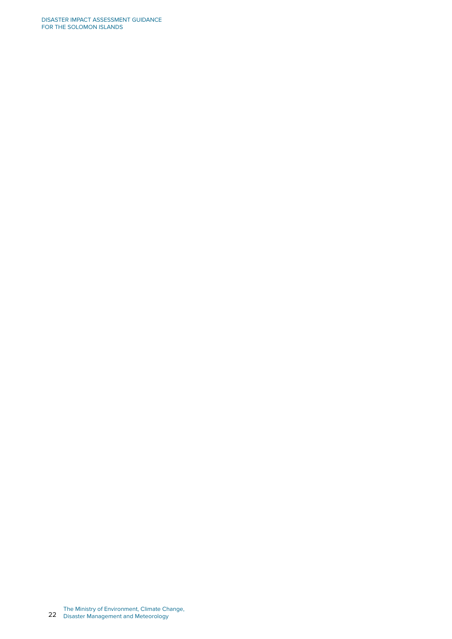DISASTER IMPACT ASSESSMENT GUIDANCE FOR THE SOLOMON ISLANDS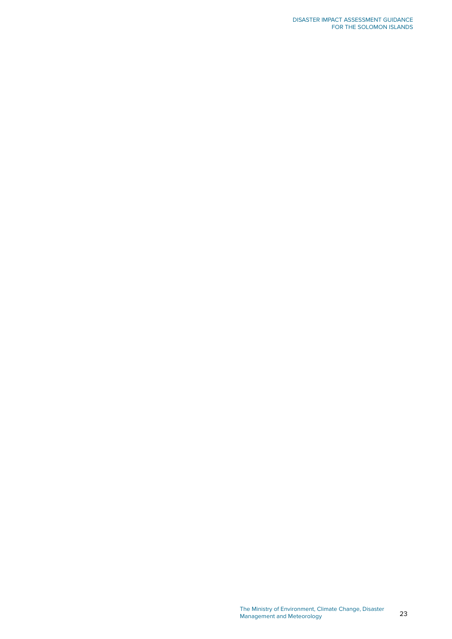DISASTER IMPACT ASSESSMENT GUIDANCE FOR THE SOLOMON ISLANDS